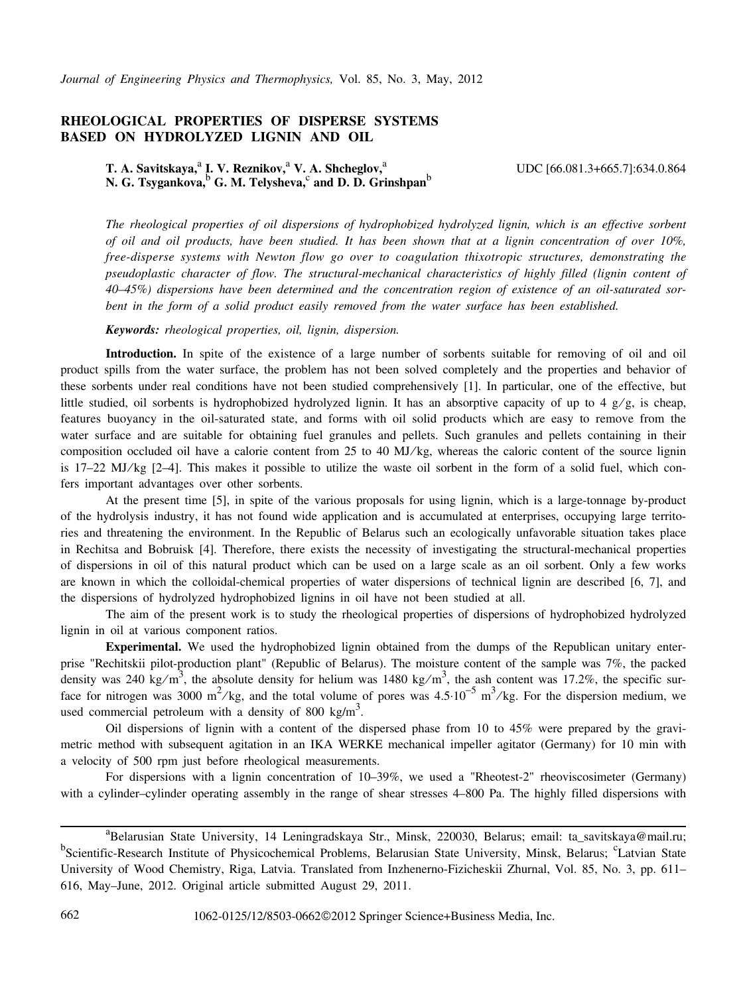## **RHEOLOGICAL PROPERTIES OF DISPERSE SYSTEMS BASED ON HYDROLYZED LIGNIN AND OIL**

T. A. Savitskaya,<sup>a</sup> I. V. Reznikov,<sup>a</sup> V. A. Shcheglov,<sup>a</sup> **N. G. Tsygankova,**<sup>b</sup>  **G. M. Telysheva,**<sup>c</sup>  **and D. D. Grinshpan**<sup>b</sup> UDC [66.081.3+665.7]:634.0.864

*The rheological properties of oil dispersions of hydrophobized hydrolyzed lignin, which is an effective sorbent of oil and oil products, have been studied. It has been shown that at a lignin concentration of over 10%, free-disperse systems with Newton flow go over to coagulation thixotropic structures, demonstrating the pseudoplastic character of flow. The structural-mechanical characteristics of highly filled (lignin content of 40–45%) dispersions have been determined and the concentration region of existence of an oil-saturated sorbent in the form of a solid product easily removed from the water surface has been established.*

*Keywords: rheological properties, oil, lignin, dispersion.*

**Introduction.** In spite of the existence of a large number of sorbents suitable for removing of oil and oil product spills from the water surface, the problem has not been solved completely and the properties and behavior of these sorbents under real conditions have not been studied comprehensively [1]. In particular, one of the effective, but little studied, oil sorbents is hydrophobized hydrolyzed lignin. It has an absorptive capacity of up to 4  $g/g$ , is cheap, features buoyancy in the oil-saturated state, and forms with oil solid products which are easy to remove from the water surface and are suitable for obtaining fuel granules and pellets. Such granules and pellets containing in their composition occluded oil have a calorie content from 25 to 40 MJ/kg, whereas the caloric content of the source lignin is 17–22 MJ⁄ kg [2–4]. This makes it possible to utilize the waste oil sorbent in the form of a solid fuel, which confers important advantages over other sorbents.

At the present time [5], in spite of the various proposals for using lignin, which is a large-tonnage by-product of the hydrolysis industry, it has not found wide application and is accumulated at enterprises, occupying large territories and threatening the environment. In the Republic of Belarus such an ecologically unfavorable situation takes place in Rechitsa and Bobruisk [4]. Therefore, there exists the necessity of investigating the structural-mechanical properties of dispersions in oil of this natural product which can be used on a large scale as an oil sorbent. Only a few works are known in which the colloidal-chemical properties of water dispersions of technical lignin are described [6, 7], and the dispersions of hydrolyzed hydrophobized lignins in oil have not been studied at all.

The aim of the present work is to study the rheological properties of dispersions of hydrophobized hydrolyzed lignin in oil at various component ratios.

**Experimental.** We used the hydrophobized lignin obtained from the dumps of the Republican unitary enterprise "Rechitskii pilot-production plant" (Republic of Belarus). The moisture content of the sample was 7%, the packed density was 240 kg/m<sup>3</sup>, the absolute density for helium was 1480 kg/m<sup>3</sup>, the ash content was 17.2%, the specific surface for nitrogen was 3000 m<sup>2</sup>/kg, and the total volume of pores was 4.5⋅10<sup>-5</sup> m<sup>3</sup>/kg. For the dispersion medium, we used commercial petroleum with a density of 800 kg/m<sup>3</sup>.

Oil dispersions of lignin with a content of the dispersed phase from 10 to 45% were prepared by the gravimetric method with subsequent agitation in an IKA WERKE mechanical impeller agitator (Germany) for 10 min with a velocity of 500 rpm just before rheological measurements.

For dispersions with a lignin concentration of 10–39%, we used a "Rheotest-2" rheoviscosimeter (Germany) with a cylinder–cylinder operating assembly in the range of shear stresses 4–800 Pa. The highly filled dispersions with

a<br>Belarusian State University, 14 Leningradskaya Str., Minsk, 220030, Belarus; email: ta\_savitskaya@mail.ru; <sup>b</sup>Scientific-Research Institute of Physicochemical Problems, Belarusian State University, Minsk, Belarus; <sup>c</sup>Latvian State University of Wood Chemistry, Riga, Latvia. Translated from Inzhenerno-Fizicheskii Zhurnal, Vol. 85, No. 3, pp. 611– 616, May–June, 2012. Original article submitted August 29, 2011.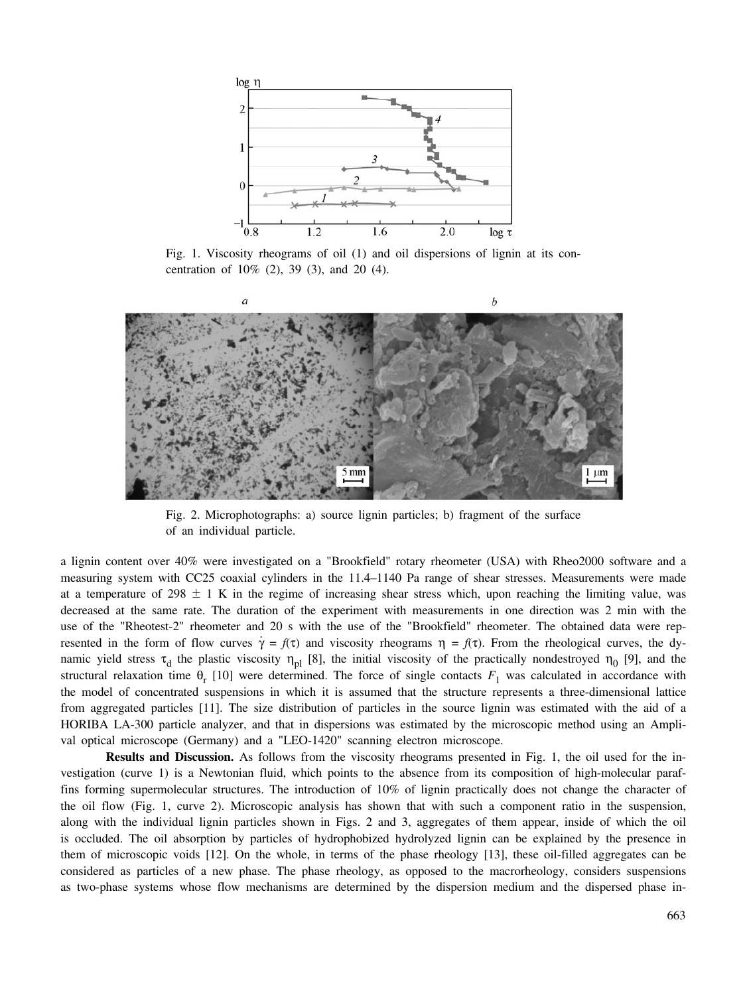

Fig. 1. Viscosity rheograms of oil (1) and oil dispersions of lignin at its concentration of 10% (2), 39 (3), and 20 (4).



Fig. 2. Microphotographs: a) source lignin particles; b) fragment of the surface of an individual particle.

a lignin content over 40% were investigated on a "Brookfield" rotary rheometer (USA) with Rheo2000 software and a measuring system with CC25 coaxial cylinders in the 11.4–1140 Pa range of shear stresses. Measurements were made at a temperature of 298  $\pm$  1 K in the regime of increasing shear stress which, upon reaching the limiting value, was decreased at the same rate. The duration of the experiment with measurements in one direction was 2 min with the use of the "Rheotest-2" rheometer and 20 s with the use of the "Brookfield" rheometer. The obtained data were represented in the form of flow curves  $\gamma = f(\tau)$  and viscosity rheograms  $\eta = f(\tau)$ . From the rheological curves, the dynamic yield stress  $\tau_d$  the plastic viscosity  $\eta_{pl}$  [8], the initial viscosity of the practically nondestroyed  $\eta_0$  [9], and the structural relaxation time  $\theta_r$  [10] were determined. The force of single contacts  $F_1$  was calculated in accordance with the model of concentrated suspensions in which it is assumed that the structure represents a three-dimensional lattice from aggregated particles [11]. The size distribution of particles in the source lignin was estimated with the aid of a HORIBA LA-300 particle analyzer, and that in dispersions was estimated by the microscopic method using an Amplival optical microscope (Germany) and a "LEO-1420" scanning electron microscope.

**Results and Discussion.** As follows from the viscosity rheograms presented in Fig. 1, the oil used for the investigation (curve 1) is a Newtonian fluid, which points to the absence from its composition of high-molecular paraffins forming supermolecular structures. The introduction of 10% of lignin practically does not change the character of the oil flow (Fig. 1, curve 2). Microscopic analysis has shown that with such a component ratio in the suspension, along with the individual lignin particles shown in Figs. 2 and 3, aggregates of them appear, inside of which the oil is occluded. The oil absorption by particles of hydrophobized hydrolyzed lignin can be explained by the presence in them of microscopic voids [12]. On the whole, in terms of the phase rheology [13], these oil-filled aggregates can be considered as particles of a new phase. The phase rheology, as opposed to the macrorheology, considers suspensions as two-phase systems whose flow mechanisms are determined by the dispersion medium and the dispersed phase in-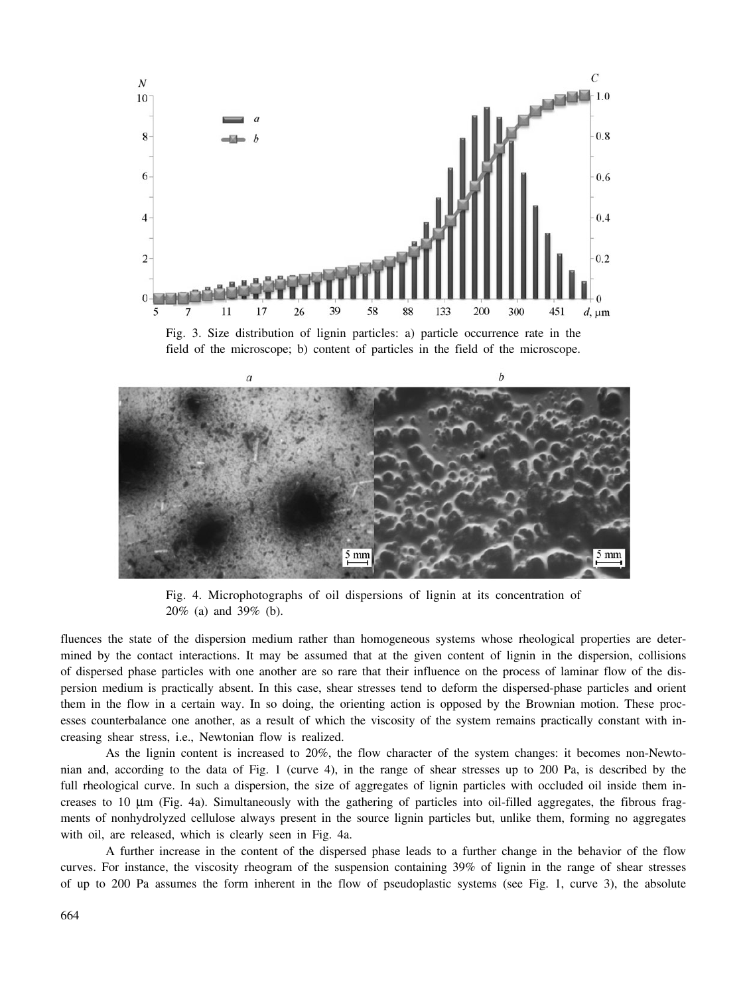



Fig. 4. Microphotographs of oil dispersions of lignin at its concentration of 20% (a) and 39% (b).

fluences the state of the dispersion medium rather than homogeneous systems whose rheological properties are determined by the contact interactions. It may be assumed that at the given content of lignin in the dispersion, collisions of dispersed phase particles with one another are so rare that their influence on the process of laminar flow of the dispersion medium is practically absent. In this case, shear stresses tend to deform the dispersed-phase particles and orient them in the flow in a certain way. In so doing, the orienting action is opposed by the Brownian motion. These processes counterbalance one another, as a result of which the viscosity of the system remains practically constant with increasing shear stress, i.e., Newtonian flow is realized.

As the lignin content is increased to 20%, the flow character of the system changes: it becomes non-Newtonian and, according to the data of Fig. 1 (curve 4), in the range of shear stresses up to 200 Pa, is described by the full rheological curve. In such a dispersion, the size of aggregates of lignin particles with occluded oil inside them increases to 10 μm (Fig. 4a). Simultaneously with the gathering of particles into oil-filled aggregates, the fibrous fragments of nonhydrolyzed cellulose always present in the source lignin particles but, unlike them, forming no aggregates with oil, are released, which is clearly seen in Fig. 4a.

A further increase in the content of the dispersed phase leads to a further change in the behavior of the flow curves. For instance, the viscosity rheogram of the suspension containing 39% of lignin in the range of shear stresses of up to 200 Pa assumes the form inherent in the flow of pseudoplastic systems (see Fig. 1, curve 3), the absolute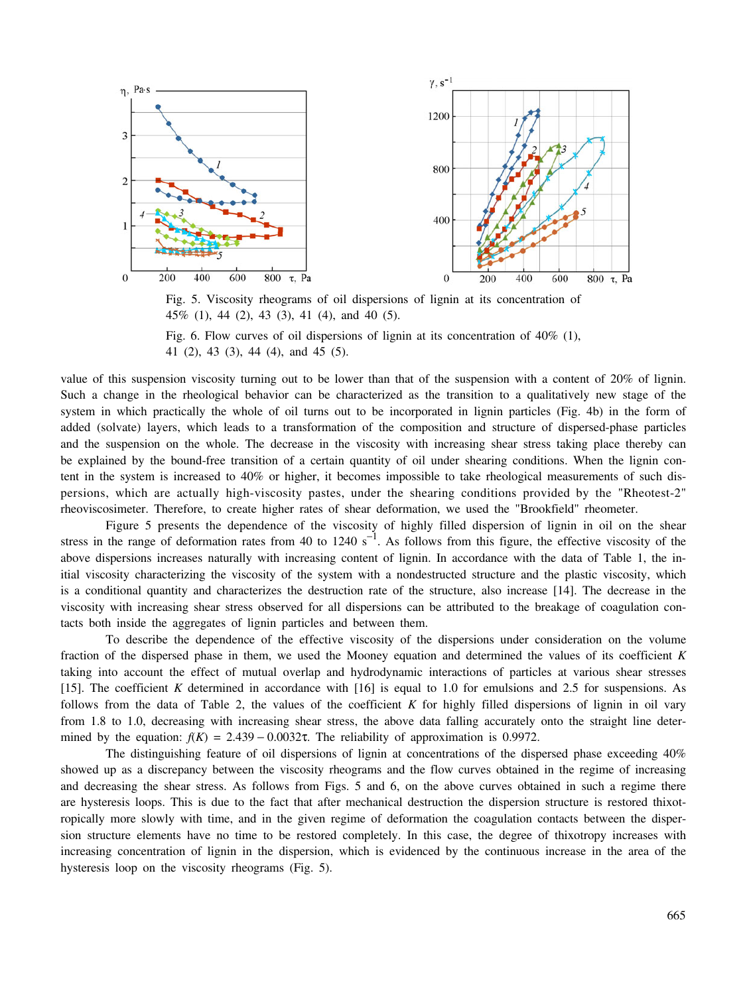

Fig. 5. Viscosity rheograms of oil dispersions of lignin at its concentration of 45% (1), 44 (2), 43 (3), 41 (4), and 40 (5).

value of this suspension viscosity turning out to be lower than that of the suspension with a content of 20% of lignin. Such a change in the rheological behavior can be characterized as the transition to a qualitatively new stage of the system in which practically the whole of oil turns out to be incorporated in lignin particles (Fig. 4b) in the form of added (solvate) layers, which leads to a transformation of the composition and structure of dispersed-phase particles and the suspension on the whole. The decrease in the viscosity with increasing shear stress taking place thereby can be explained by the bound-free transition of a certain quantity of oil under shearing conditions. When the lignin content in the system is increased to 40% or higher, it becomes impossible to take rheological measurements of such dispersions, which are actually high-viscosity pastes, under the shearing conditions provided by the "Rheotest-2" rheoviscosimeter. Therefore, to create higher rates of shear deformation, we used the "Brookfield" rheometer.

Figure 5 presents the dependence of the viscosity of highly filled dispersion of lignin in oil on the shear stress in the range of deformation rates from 40 to 1240 s<sup>-1</sup>. As follows from this figure, the effective viscosity of the above dispersions increases naturally with increasing content of lignin. In accordance with the data of Table 1, the initial viscosity characterizing the viscosity of the system with a nondestructed structure and the plastic viscosity, which is a conditional quantity and characterizes the destruction rate of the structure, also increase [14]. The decrease in the viscosity with increasing shear stress observed for all dispersions can be attributed to the breakage of coagulation contacts both inside the aggregates of lignin particles and between them.

To describe the dependence of the effective viscosity of the dispersions under consideration on the volume fraction of the dispersed phase in them, we used the Mooney equation and determined the values of its coefficient *K* taking into account the effect of mutual overlap and hydrodynamic interactions of particles at various shear stresses [15]. The coefficient *K* determined in accordance with [16] is equal to 1.0 for emulsions and 2.5 for suspensions. As follows from the data of Table 2, the values of the coefficient *K* for highly filled dispersions of lignin in oil vary from 1.8 to 1.0, decreasing with increasing shear stress, the above data falling accurately onto the straight line determined by the equation:  $f(K) = 2.439 - 0.0032\tau$ . The reliability of approximation is 0.9972.

The distinguishing feature of oil dispersions of lignin at concentrations of the dispersed phase exceeding 40% showed up as a discrepancy between the viscosity rheograms and the flow curves obtained in the regime of increasing and decreasing the shear stress. As follows from Figs. 5 and 6, on the above curves obtained in such a regime there are hysteresis loops. This is due to the fact that after mechanical destruction the dispersion structure is restored thixotropically more slowly with time, and in the given regime of deformation the coagulation contacts between the dispersion structure elements have no time to be restored completely. In this case, the degree of thixotropy increases with increasing concentration of lignin in the dispersion, which is evidenced by the continuous increase in the area of the hysteresis loop on the viscosity rheograms (Fig. 5).

Fig. 6. Flow curves of oil dispersions of lignin at its concentration of 40% (1), 41 (2), 43 (3), 44 (4), and 45 (5).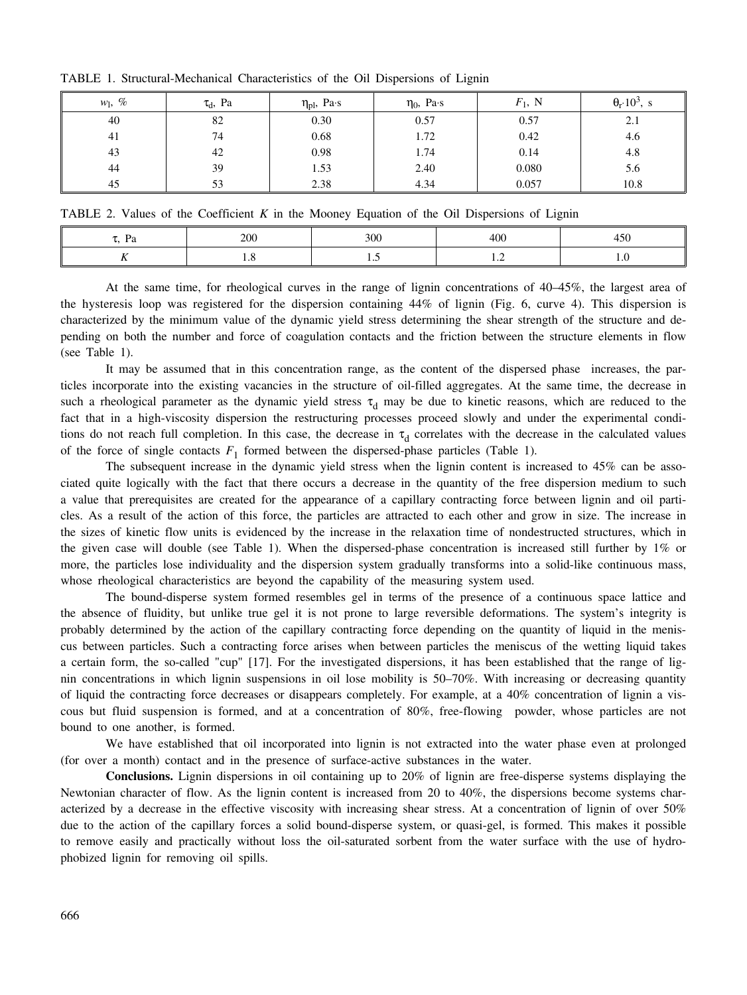| $w_1, \%$ | $\tau_{d}$ , Pa | $\eta_{\text{pl}}$ , Pa·s | $\eta_0$ , Pa·s | $F_1$ , N | $\theta_r$ 10 <sup>3</sup> , s |
|-----------|-----------------|---------------------------|-----------------|-----------|--------------------------------|
| 40        | 82              | 0.30                      | 0.57            | 0.57      | 2.1                            |
| 41        | 74              | 0.68                      | 1.72            | 0.42      | 4.6                            |
| 43        | 42              | 0.98                      | 1.74            | 0.14      | 4.8                            |
| 44        | 39              | 1.53                      | 2.40            | 0.080     | 5.6                            |
| 45        | 53              | 2.38                      | 4.34            | 0.057     | 10.8                           |

TABLE 1. Structural-Mechanical Characteristics of the Oil Dispersions of Lignin

TABLE 2. Values of the Coefficient *K* in the Mooney Equation of the Oil Dispersions of Lignin

| - 126<br>1 a | 200 | 300 | 400 | $\epsilon$<br>7Cł |
|--------------|-----|-----|-----|-------------------|
|              |     | ن 1 | .   |                   |
|              |     |     |     |                   |

At the same time, for rheological curves in the range of lignin concentrations of 40–45%, the largest area of the hysteresis loop was registered for the dispersion containing 44% of lignin (Fig. 6, curve 4). This dispersion is characterized by the minimum value of the dynamic yield stress determining the shear strength of the structure and depending on both the number and force of coagulation contacts and the friction between the structure elements in flow (see Table 1).

It may be assumed that in this concentration range, as the content of the dispersed phase increases, the particles incorporate into the existing vacancies in the structure of oil-filled aggregates. At the same time, the decrease in such a rheological parameter as the dynamic yield stress  $\tau_d$  may be due to kinetic reasons, which are reduced to the fact that in a high-viscosity dispersion the restructuring processes proceed slowly and under the experimental conditions do not reach full completion. In this case, the decrease in  $\tau_d$  correlates with the decrease in the calculated values of the force of single contacts  $F_1$  formed between the dispersed-phase particles (Table 1).

The subsequent increase in the dynamic yield stress when the lignin content is increased to 45% can be associated quite logically with the fact that there occurs a decrease in the quantity of the free dispersion medium to such a value that prerequisites are created for the appearance of a capillary contracting force between lignin and oil particles. As a result of the action of this force, the particles are attracted to each other and grow in size. The increase in the sizes of kinetic flow units is evidenced by the increase in the relaxation time of nondestructed structures, which in the given case will double (see Table 1). When the dispersed-phase concentration is increased still further by 1% or more, the particles lose individuality and the dispersion system gradually transforms into a solid-like continuous mass, whose rheological characteristics are beyond the capability of the measuring system used.

The bound-disperse system formed resembles gel in terms of the presence of a continuous space lattice and the absence of fluidity, but unlike true gel it is not prone to large reversible deformations. The system's integrity is probably determined by the action of the capillary contracting force depending on the quantity of liquid in the meniscus between particles. Such a contracting force arises when between particles the meniscus of the wetting liquid takes a certain form, the so-called "cup" [17]. For the investigated dispersions, it has been established that the range of lignin concentrations in which lignin suspensions in oil lose mobility is 50–70%. With increasing or decreasing quantity of liquid the contracting force decreases or disappears completely. For example, at a 40% concentration of lignin a viscous but fluid suspension is formed, and at a concentration of 80%, free-flowing powder, whose particles are not bound to one another, is formed.

We have established that oil incorporated into lignin is not extracted into the water phase even at prolonged (for over a month) contact and in the presence of surface-active substances in the water.

**Conclusions.** Lignin dispersions in oil containing up to 20% of lignin are free-disperse systems displaying the Newtonian character of flow. As the lignin content is increased from 20 to 40%, the dispersions become systems characterized by a decrease in the effective viscosity with increasing shear stress. At a concentration of lignin of over 50% due to the action of the capillary forces a solid bound-disperse system, or quasi-gel, is formed. This makes it possible to remove easily and practically without loss the oil-saturated sorbent from the water surface with the use of hydrophobized lignin for removing oil spills.